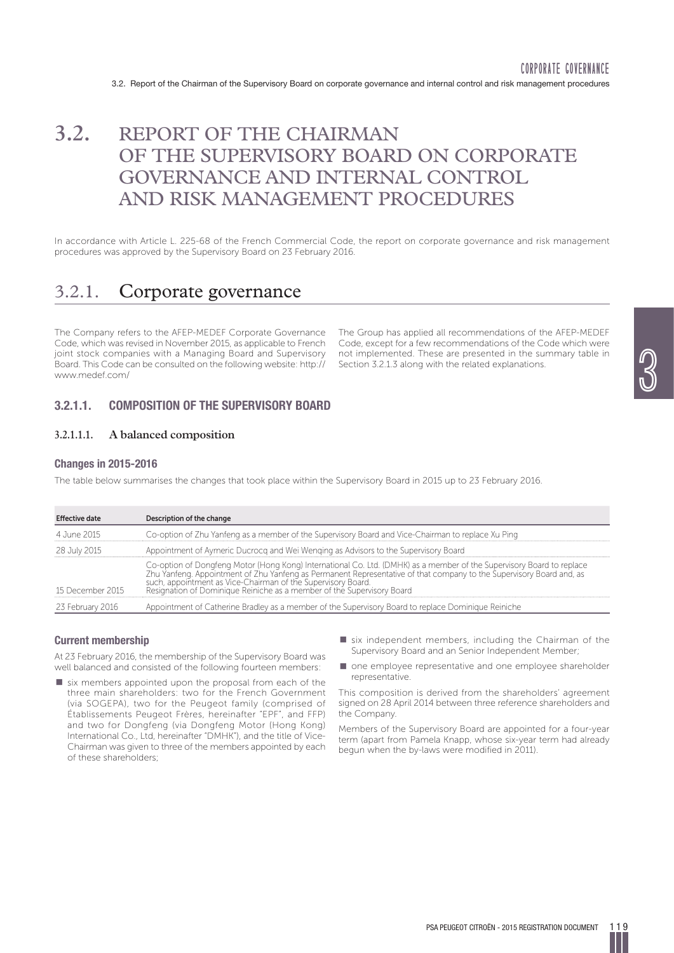# **3.2.** REPORT OF THE CHAIRMAN OF THE SUPERVISORY BOARD ON CORPORATE GOVERNANCE AND INTERNAL CONTROL AND RISK MANAGEMENT PROCEDURES

In accordance with Article L. 225-68 of the French Commercial Code, the report on corporate governance and risk management procedures was approved by the Supervisory Board on 23 February 2016.

# 3.2.1. Corporate governance

The Company refers to the AFEP-MEDEF Corporate Governance Code, which was revised in November 2015, as applicable to French joint stock companies with a Managing Board and Supervisory Board. This Code can be consulted on the following website: http:// www.medef.com/

The Group has applied all recommendations of the AFEP-MEDEF Code, except for a few recommendations of the Code which were not implemented. These are presented in the summary table in Section 3.2.1.3 along with the related explanations.

## **3.2.1.1. COMPOSITION OF THE SUPERVISORY BOARD**

## **3.2.1.1.1. A balanced composition**

## **Changes in 2015-2016**

The table below summarises the changes that took place within the Supervisory Board in 2015 up to 23 February 2016.

| <b>Effective date</b> | Description of the change                                                                                                                                                                                                         |
|-----------------------|-----------------------------------------------------------------------------------------------------------------------------------------------------------------------------------------------------------------------------------|
| 4 June 2015           | Co-option of Zhu Yanfeng as a member of the Supervisory Board and Vice-Chairman to replace Xu Ping                                                                                                                                |
| 28 July 2015          | Appointment of Aymeric Ducrocq and Wei Wenging as Advisors to the Supervisory Board                                                                                                                                               |
| 15 December 2015      | Co-option of Dongfeng Motor (Hong Kong) International Co. Ltd. (DMHK) as a member of the Supervisory Board to replace<br>Zhu Yanfeng. Appointment of Zhu Yanfeng as Permanent Representative of that company to the Supervisory B |
| 23 February 2016      | Appointment of Catherine Bradley as a member of the Supervisory Board to replace Dominique Reiniche                                                                                                                               |

## **Current membership**

At 23 February 2016, the membership of the Supervisory Board was well balanced and consisted of the following fourteen members:

- $\blacksquare$  six members appointed upon the proposal from each of the three main shareholders: two for the French Government (via SOGEPA), two for the Peugeot family (comprised of Établissements Peugeot Frères, hereinafter "EPF", and FFP) and two for Dongfeng (via Dongfeng Motor (Hong Kong) International Co., Ltd, hereinafter "DMHK"), and the title of Vice-Chairman was given to three of the members appointed by each of these shareholders;
- $\blacksquare$  six independent members, including the Chairman of the Supervisory Board and an Senior Independent Member;
- $\blacksquare$  one employee representative and one employee shareholder representative.

This composition is derived from the shareholders' agreement signed on 28 April 2014 between three reference shareholders and the Company.

Members of the Supervisory Board are appointed for a four-year term (apart from Pamela Knapp, whose six-year term had already begun when the by-laws were modified in 2011).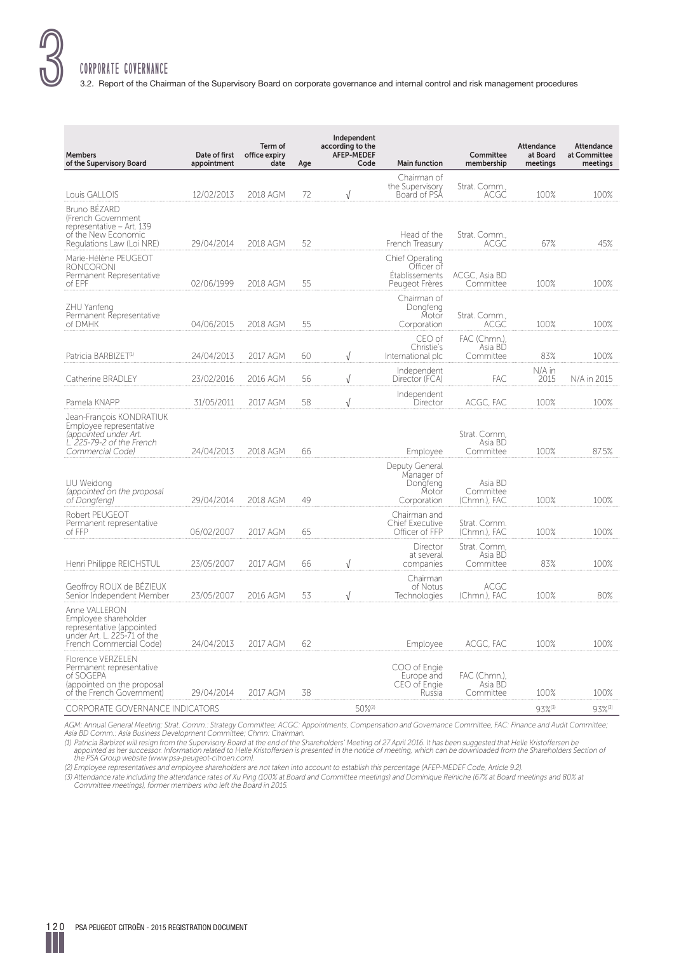# CORPORATE GOVERNANCE

3.2. Report of the Chairman of the Supervisory Board on corporate governance and internal control and risk management procedures

| <b>Members</b><br>of the Supervisory Board                                                                                    | Date of first<br>appointment | Term of<br>office expiry<br>date | Age | Independent<br>according to the<br><b>AFEP-MEDEF</b><br>Code | <b>Main function</b>                                              | Committee<br>membership              | Attendance<br>at Board<br>meetings | Attendance<br>at Committee<br>meetings |
|-------------------------------------------------------------------------------------------------------------------------------|------------------------------|----------------------------------|-----|--------------------------------------------------------------|-------------------------------------------------------------------|--------------------------------------|------------------------------------|----------------------------------------|
| Louis GALLOIS                                                                                                                 | 12/02/2013                   | 2018 AGM                         | 72  | $\sqrt{ }$                                                   | Chairman of<br>the Supervisory<br>Board of PSA                    | Strat. Comm.,<br>ACGC                | 100%                               | 100%                                   |
| Bruno BÉZARD<br>(French Government<br>representative - Art. 139<br>of the New Economic<br>Regulations Law (Loi NRE)           | 29/04/2014                   | 2018 AGM                         | 52  |                                                              | Head of the<br>French Treasury                                    | Strat. Comm.,<br>ACGC                | 67%                                | 45%                                    |
| Marie-Hélène PEUGEOT<br><b>RONCORONI</b><br>Permanent Representative<br>of EPF                                                | 02/06/1999                   | 2018 AGM                         | 55  |                                                              | Chief Operating<br>Officer of<br>Etablissements<br>Peugeot Frères | ACGC, Asia BD<br>Committee           | 100%                               | 100%                                   |
| ZHU Yanfeng<br>Permanent Representative<br>of DMHK                                                                            | 04/06/2015                   | 2018 AGM                         | 55  |                                                              | Chairman of<br>Dongfeng<br>Motor<br>Corporation                   | Strat. Comm.,<br>ACGC                | 100%                               | 100%                                   |
| Patricia BARBIZET <sup>(1)</sup>                                                                                              | 24/04/2013                   | 2017 AGM                         | 60  | $\sqrt{ }$                                                   | CEO of<br>Christie's<br>International plc                         | FAC (Chmn.),<br>Asia BD<br>Committee | 83%                                | 100%                                   |
| Catherine BRADLEY                                                                                                             | 23/02/2016                   | 2016 AGM                         | 56  | $\sqrt{ }$                                                   | Independent<br>Director (FCA)                                     | FAC                                  | N/A in<br>2015                     | N/A in 2015                            |
| Pamela KNAPP                                                                                                                  | 31/05/2011                   | 2017 AGM                         | 58  | $\sqrt{ }$                                                   | Independent<br>Director                                           | ACGC, FAC                            | 100%                               | 100%                                   |
| Jean-François KONDRATIUK<br>Employee representative<br>(appointed under Art.<br>L. 225-79-2 of the French<br>Commercial Code) | 24/04/2013                   | 2018 AGM                         | 66  |                                                              | Employee                                                          | Strat. Comm.<br>Asia BD<br>Committee | 100%                               | 87.5%                                  |
| LIU Weidong<br>(appointed on the proposal<br>of Dongfeng)                                                                     | 29/04/2014                   | 2018 AGM                         | 49  |                                                              | Deputy General<br>Manager of<br>Dongfeng<br>Motor<br>Corporation  | Asia BD<br>Committee<br>(Chmn.), FAC | 100%                               | 100%                                   |
| Robert PEUGEOT<br>Permanent representative<br>of FFP                                                                          | 06/02/2007                   | 2017 AGM                         | 65  |                                                              | Chairman and<br><b>Chief Executive</b><br>Officer of FFP          | Strat. Comm.<br>(Chmn.), FAC         | 100%                               | 100%                                   |
| Henri Philippe REICHSTUL                                                                                                      | 23/05/2007                   | 2017 AGM                         | 66  | $\sqrt{}$                                                    | Director<br>at several<br>companies                               | Strat. Comm,<br>Asia BD<br>Committee | 83%                                | 100%                                   |
| Geoffroy ROUX de BÉZIEUX<br>Senior Independent Member                                                                         | 23/05/2007                   | 2016 AGM                         | 53  | $\sqrt{ }$                                                   | Chairman<br>of Notus<br>Technologies                              | ACGC<br>(Chmn.), FAC                 | 100%                               | 80%                                    |
| Anne VALLERON<br>Employee shareholder<br>representative (appointed<br>under Art. L. 225-71 of the<br>French Commercial Code)  | 24/04/2013                   | 2017 AGM                         | 62  |                                                              | Employee                                                          | ACGC, FAC                            | 100%                               | 100%                                   |
| <b>Florence VERZELEN</b><br>Permanent representative<br>of SOGEPA<br>(appointed on the proposal<br>of the French Government)  | 29/04/2014                   | 2017 AGM                         | 38  |                                                              | COO of Engie<br>Europe and<br>CEO of Engie<br>Russia              | FAC (Chmn.),<br>Asia BD<br>Committee | 100%                               | 100%                                   |
| <b>CORPORATE GOVERNANCE INDICATORS</b>                                                                                        |                              |                                  |     | 50%(2)                                                       |                                                                   |                                      | 93%(3)                             | 93%(3)                                 |

AGM: Annual General Meeting; Strat. Comm.: Strategy Committee; ACGC: Appointments, Compensation and Governance Committee, FAC: Finance and Audit Committee;<br>Asia BD Comm.: Asia Business Development Committee; Chmn: Chairman

(1) Patricia Barbizet will resign from the Supervisory Board at the end of the Shareholders' Meeting of 27 April 2016. It has been suggested that Helle Kristoffersen be<br>appointed as her successor. Information related to He

(2) Employee representatives and employee shareholders are not taken into account to establish this percentage (AFEP-MEDEF Code, Article 9.2).

(3) Attendance rate including the attendance rates of Xu Ping (100% at Board and Committee meetings) and Dominique Reiniche (67% at Board meetings and 80% at<br>Committee meetings), former members who left the Board in 2015.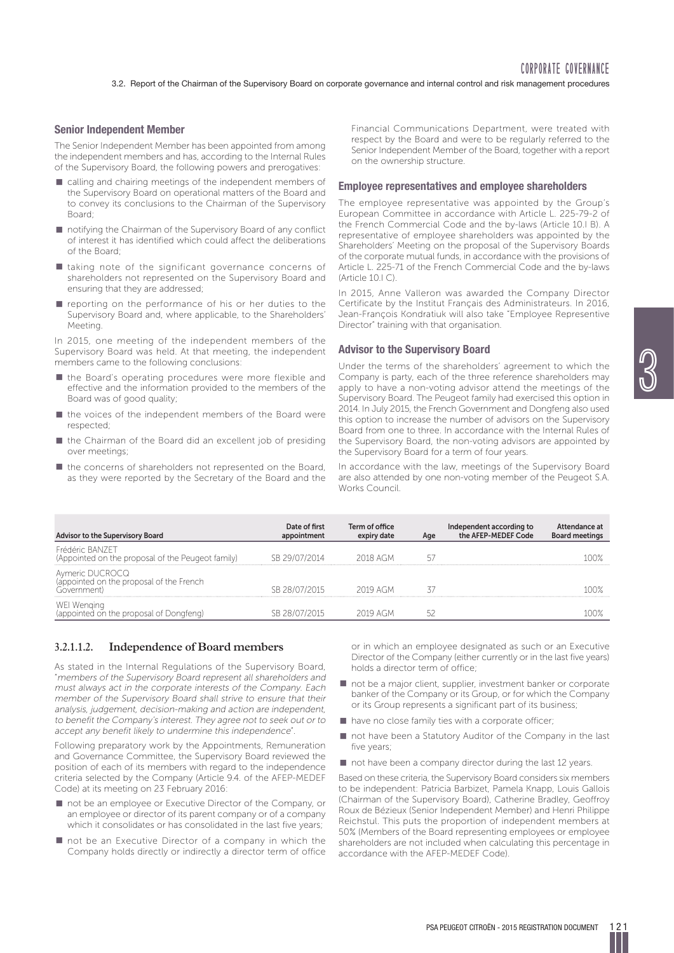## **Senior Independent Member**

The Senior Independent Member has been appointed from among the independent members and has, according to the Internal Rules of the Supervisory Board, the following powers and prerogatives:

- $\blacksquare$  calling and chairing meetings of the independent members of the Supervisory Board on operational matters of the Board and to convey its conclusions to the Chairman of the Supervisory Board;
- $\blacksquare$  notifying the Chairman of the Supervisory Board of any conflict of interest it has identified which could affect the deliberations of the Board;
- $\blacksquare$  taking note of the significant governance concerns of shareholders not represented on the Supervisory Board and ensuring that they are addressed;
- $\blacksquare$  reporting on the performance of his or her duties to the Supervisory Board and, where applicable, to the Shareholders' Meeting.

In 2015, one meeting of the independent members of the Supervisory Board was held. At that meeting, the independent members came to the following conclusions:

- $\blacksquare$  the Board's operating procedures were more flexible and effective and the information provided to the members of the Board was of good quality;
- $\blacksquare$  the voices of the independent members of the Board were respected;
- the Chairman of the Board did an excellent job of presiding over meetings;
- $\blacksquare$  the concerns of shareholders not represented on the Board, as they were reported by the Secretary of the Board and the

Financial Communications Department, were treated with respect by the Board and were to be regularly referred to the Senior Independent Member of the Board, together with a report on the ownership structure.

#### **Employee representatives and employee shareholders**

The employee representative was appointed by the Group's European Committee in accordance with Article L. 225-79-2 of the French Commercial Code and the by-laws (Article 10.I B). A representative of employee shareholders was appointed by the Shareholders' Meeting on the proposal of the Supervisory Boards of the corporate mutual funds, in accordance with the provisions of Article L. 225-71 of the French Commercial Code and the by-laws  $(Article 101<sup>C</sup>).$ 

In 2015, Anne Valleron was awarded the Company Director Certificate by the Institut Français des Administrateurs. In 2016, Jean-François Kondratiuk will also take "Employee Representive Director" training with that organisation.

#### **Advisor to the Supervisory Board**

Under the terms of the shareholders' agreement to which the Company is party, each of the three reference shareholders may apply to have a non-voting advisor attend the meetings of the Supervisory Board. The Peugeot family had exercised this option in 2014. In July 2015, the French Government and Dongfeng also used this option to increase the number of advisors on the Supervisory Board from one to three. In accordance with the Internal Rules of the Supervisory Board, the non-voting advisors are appointed by the Supervisory Board for a term of four years.

In accordance with the law, meetings of the Supervisory Board are also attended by one non-voting member of the Peugeot S.A. Works Council.

| Advisor to the Supervisory Board                                           | Date of first<br>appointment | Term of office<br>expiry date | Age | Independent according to<br>the AFEP-MEDEF Code | Attendance at<br><b>Board meetings</b> |
|----------------------------------------------------------------------------|------------------------------|-------------------------------|-----|-------------------------------------------------|----------------------------------------|
| Frédéric BAN7FT<br>(Appointed on the proposal of the Peugeot family)       | SB 29/07/2014                | 2018 AGM                      |     |                                                 |                                        |
| Aymeric DUCROCQ<br>(appointed on the proposal of the French<br>Government) | SB 28/07/2015                | 2019 AGM                      |     |                                                 |                                        |
| WEI Wenging<br>(appointed on the proposal of Dongfeng)                     | SB 28/07/2015                | 2019 AGM                      |     |                                                 |                                        |

## **3.2.1.1.2. Independence of Board members**

As stated in the Internal Regulations of the Supervisory Board, "members of the Supervisory Board represent all shareholders and must always act in the corporate interests of the Company. Each member of the Supervisory Board shall strive to ensure that their analysis, judgement, decision-making and action are independent, to benefit the Company's interest. They agree not to seek out or to accept any benefit likely to undermine this independence".

Following preparatory work by the Appointments, Remuneration and Governance Committee, the Supervisory Board reviewed the position of each of its members with regard to the independence criteria selected by the Company (Article 9.4. of the AFEP-MEDEF Code) at its meeting on 23 February 2016:

- not be an employee or Executive Director of the Company, or an employee or director of its parent company or of a company which it consolidates or has consolidated in the last five years;
- $\blacksquare$  not be an Executive Director of a company in which the Company holds directly or indirectly a director term of office

or in which an employee designated as such or an Executive Director of the Company (either currently or in the last five years) holds a director term of office;

- $\blacksquare$  not be a major client, supplier, investment banker or corporate banker of the Company or its Group, or for which the Company or its Group represents a significant part of its business;
- $\blacksquare$  have no close family ties with a corporate officer;
- **not have been a Statutory Auditor of the Company in the last** five years;
- $\blacksquare$  not have been a company director during the last 12 years.

Based on these criteria, the Supervisory Board considers six members to be independent: Patricia Barbizet, Pamela Knapp, Louis Gallois (Chairman of the Supervisory Board), Catherine Bradley, Geoffroy Roux de Bézieux (Senior Independent Member) and Henri Philippe Reichstul. This puts the proportion of independent members at 50% (Members of the Board representing employees or employee shareholders are not included when calculating this percentage in accordance with the AFEP-MEDEF Code).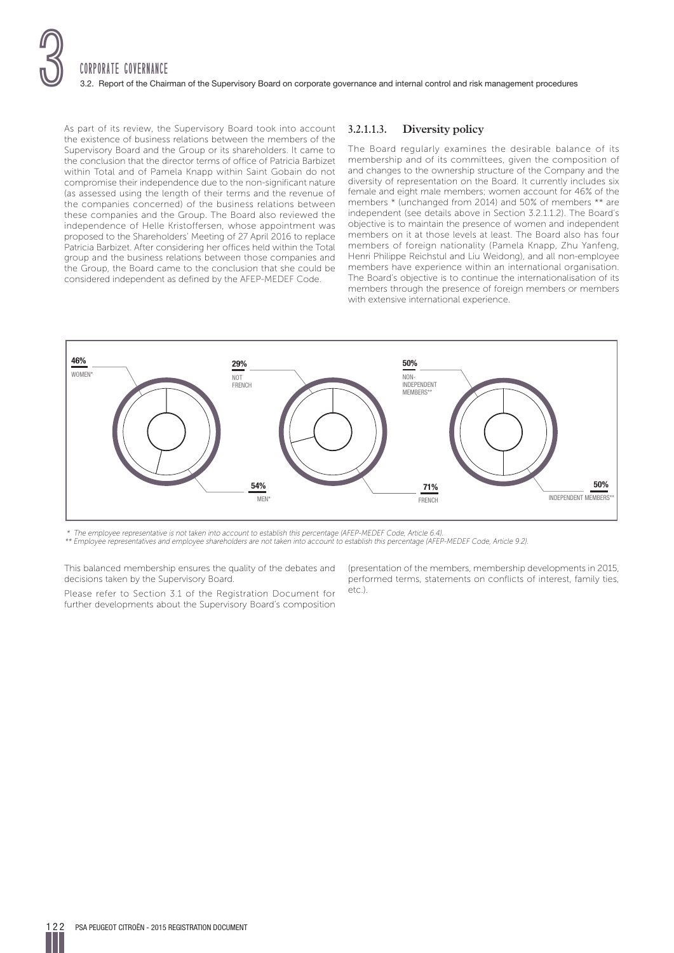

As part of its review, the Supervisory Board took into account the existence of business relations between the members of the Supervisory Board and the Group or its shareholders. It came to the conclusion that the director terms of office of Patricia Barbizet within Total and of Pamela Knapp within Saint Gobain do not compromise their independence due to the non-significant nature (as assessed using the length of their terms and the revenue of the companies concerned) of the business relations between these companies and the Group. The Board also reviewed the independence of Helle Kristoffersen, whose appointment was proposed to the Shareholders' Meeting of 27 April 2016 to replace Patricia Barbizet. After considering her offices held within the Total group and the business relations between those companies and the Group, the Board came to the conclusion that she could be considered independent as defined by the AFEP-MEDEF Code.

## **3.2.1.1.3. Diversity policy**

The Board regularly examines the desirable balance of its membership and of its committees, given the composition of and changes to the ownership structure of the Company and the diversity of representation on the Board. It currently includes six female and eight male members; women account for 46% of the members \* (unchanged from 2014) and 50% of members \*\* are independent (see details above in Section 3.2.1.1.2). The Board's objective is to maintain the presence of women and independent members on it at those levels at least. The Board also has four members of foreign nationality (Pamela Knapp, Zhu Yanfeng, Henri Philippe Reichstul and Liu Weidong), and all non-employee members have experience within an international organisation. The Board's objective is to continue the internationalisation of its members through the presence of foreign members or members with extensive international experience.



\* The employee representative is not taken into account to establish this percentage (AFEP-MEDEF Code, Article 6.4).

\*\* Employee representatives and employee shareholders are not taken into account to establish this percentage (AFEP-MEDEF Code, Article 9.2).

This balanced membership ensures the quality of the debates and decisions taken by the Supervisory Board.

Please refer to Section 3.1 of the Registration Document for further developments about the Supervisory Board's composition (presentation of the members, membership developments in 2015, performed terms, statements on conflicts of interest, family ties, etc.).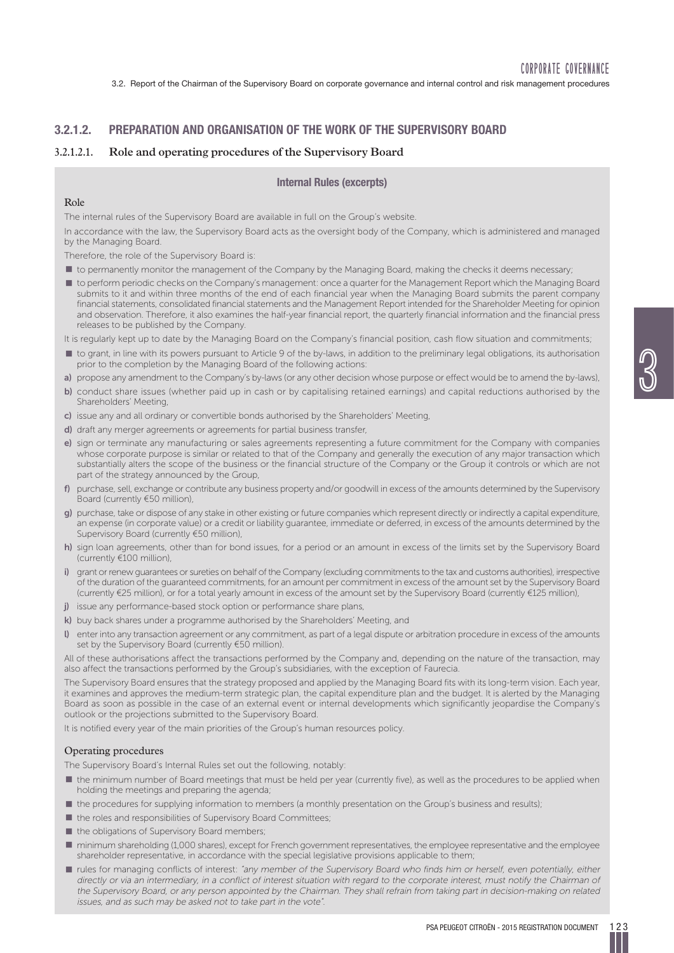## **3.2.1.2. PREPARATION AND ORGANISATION OF THE WORK OF THE SUPERVISORY BOARD**

## **3.2.1.2.1. Role and operating procedures of the Supervisory Board**

## **Internal Rules (excerpts)**

## Role

The internal rules of the Supervisory Board are available in full on the Group's website.

In accordance with the law, the Supervisory Board acts as the oversight body of the Company, which is administered and managed by the Managing Board.

Therefore, the role of the Supervisory Board is:

- $\blacksquare$  to permanently monitor the management of the Company by the Managing Board, making the checks it deems necessary;
- p to perform periodic checks on the Company's management: once a quarter for the Management Report which the Managing Board submits to it and within three months of the end of each financial year when the Managing Board submits the parent company financial statements, consolidated financial statements and the Management Report intended for the Shareholder Meeting for opinion and observation. Therefore, it also examines the half-year financial report, the quarterly financial information and the financial press releases to be published by the Company.

It is regularly kept up to date by the Managing Board on the Company's financial position, cash flow situation and commitments;

- p to grant, in line with its powers pursuant to Article 9 of the by-laws, in addition to the preliminary legal obligations, its authorisation prior to the completion by the Managing Board of the following actions:
- **a)** propose any amendment to the Company's by-laws (or any other decision whose purpose or effect would be to amend the by-laws),
- **b**) conduct share issues (whether paid up in cash or by capitalising retained earnings) and capital reductions authorised by the Shareholders' Meeting,
- **c)** issue any and all ordinary or convertible bonds authorised by the Shareholders' Meeting,
- **d)** draft any merger agreements or agreements for partial business transfer,
- **e)** sign or terminate any manufacturing or sales agreements representing a future commitment for the Company with companies whose corporate purpose is similar or related to that of the Company and generally the execution of any major transaction which substantially alters the scope of the business or the financial structure of the Company or the Group it controls or which are not part of the strategy announced by the Group,
- **f)** purchase, sell, exchange or contribute any business property and/or goodwill in excess of the amounts determined by the Supervisory Board (currently €50 million),
- **g)** purchase, take or dispose of any stake in other existing or future companies which represent directly or indirectly a capital expenditure, an expense (in corporate value) or a credit or liability guarantee, immediate or deferred, in excess of the amounts determined by the Supervisory Board (currently €50 million),
- **h)** sign loan agreements, other than for bond issues, for a period or an amount in excess of the limits set by the Supervisory Board (currently €100 million),
- **i)** grant or renew guarantees or sureties on behalf of the Company (excluding commitments to the tax and customs authorities), irrespective of the duration of the guaranteed commitments, for an amount per commitment in excess of the amount set by the Supervisory Board (currently €25 million), or for a total yearly amount in excess of the amount set by the Supervisory Board (currently €125 million),
- **j)** issue any performance-based stock option or performance share plans,
- **k)** buy back shares under a programme authorised by the Shareholders' Meeting, and
- **l)** enter into any transaction agreement or any commitment, as part of a legal dispute or arbitration procedure in excess of the amounts set by the Supervisory Board (currently €50 million).

All of these authorisations affect the transactions performed by the Company and, depending on the nature of the transaction, may also affect the transactions performed by the Group's subsidiaries, with the exception of Faurecia.

The Supervisory Board ensures that the strategy proposed and applied by the Managing Board fits with its long-term vision. Each year, it examines and approves the medium-term strategic plan, the capital expenditure plan and the budget. It is alerted by the Managing Board as soon as possible in the case of an external event or internal developments which significantly jeopardise the Company's outlook or the projections submitted to the Supervisory Board.

It is notified every year of the main priorities of the Group's human resources policy.

#### Operating procedures

The Supervisory Board's Internal Rules set out the following, notably:

- p the minimum number of Board meetings that must be held per year (currently five), as well as the procedures to be applied when holding the meetings and preparing the agenda;
- $\blacksquare$  the procedures for supplying information to members (a monthly presentation on the Group's business and results);
- $\blacksquare$  the roles and responsibilities of Supervisory Board Committees;
- $\blacksquare$  the obligations of Supervisory Board members;
- $\blacksquare$  minimum shareholding (1,000 shares), except for French government representatives, the employee representative and the employee shareholder representative, in accordance with the special legislative provisions applicable to them;
- **In** rules for managing conflicts of interest: "any member of the Supervisory Board who finds him or herself, even potentially, either directly or via an intermediary, in a conflict of interest situation with regard to the corporate interest, must notify the Chairman of the Supervisory Board, or any person appointed by the Chairman. They shall refrain from taking part in decision-making on related issues, and as such may be asked not to take part in the vote".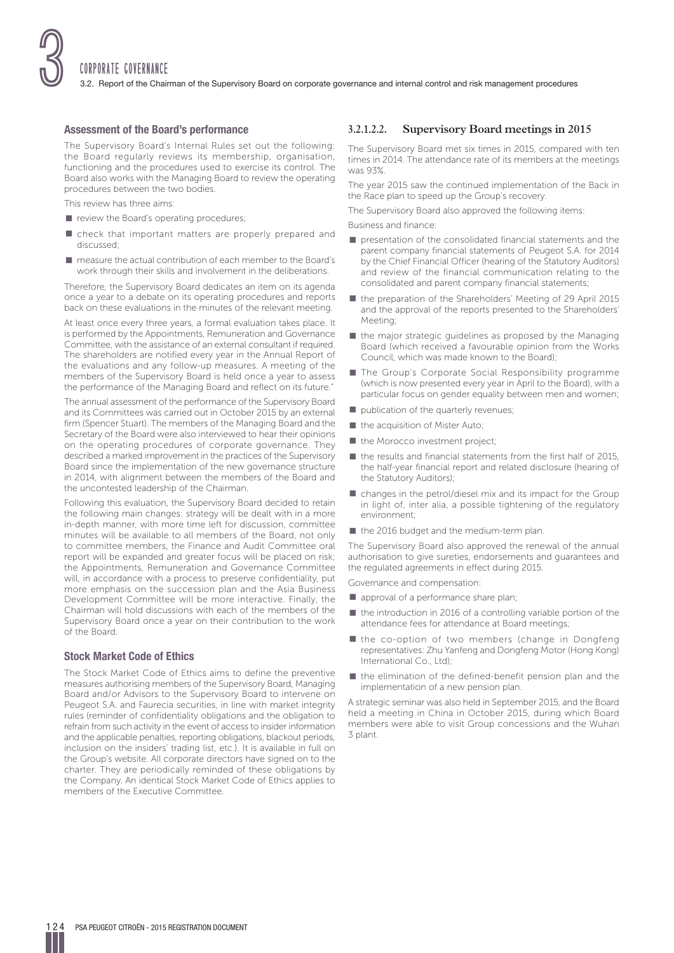## **Assessment of the Board's performance**

The Supervisory Board's Internal Rules set out the following: the Board regularly reviews its membership, organisation, functioning and the procedures used to exercise its control. The Board also works with the Managing Board to review the operating procedures between the two bodies.

This review has three aims:

- $\blacksquare$  review the Board's operating procedures;
- **n** check that important matters are properly prepared and discussed;
- **P** measure the actual contribution of each member to the Board's work through their skills and involvement in the deliberations.

Therefore, the Supervisory Board dedicates an item on its agenda once a year to a debate on its operating procedures and reports back on these evaluations in the minutes of the relevant meeting.

At least once every three years, a formal evaluation takes place. It is performed by the Appointments, Remuneration and Governance Committee, with the assistance of an external consultant if required. The shareholders are notified every year in the Annual Report of the evaluations and any follow-up measures. A meeting of the members of the Supervisory Board is held once a year to assess the performance of the Managing Board and reflect on its future.

The annual assessment of the performance of the Supervisory Board and its Committees was carried out in October 2015 by an external firm (Spencer Stuart). The members of the Managing Board and the Secretary of the Board were also interviewed to hear their opinions on the operating procedures of corporate governance. They described a marked improvement in the practices of the Supervisory Board since the implementation of the new governance structure in 2014, with alignment between the members of the Board and the uncontested leadership of the Chairman.

Following this evaluation, the Supervisory Board decided to retain the following main changes: strategy will be dealt with in a more in-depth manner, with more time left for discussion, committee minutes will be available to all members of the Board, not only to committee members, the Finance and Audit Committee oral report will be expanded and greater focus will be placed on risk; the Appointments, Remuneration and Governance Committee will, in accordance with a process to preserve confidentiality, put more emphasis on the succession plan and the Asia Business Development Committee will be more interactive. Finally, the Chairman will hold discussions with each of the members of the Supervisory Board once a year on their contribution to the work of the Board.

## **Stock Market Code of Ethics**

The Stock Market Code of Ethics aims to define the preventive measures authorising members of the Supervisory Board, Managing Board and/or Advisors to the Supervisory Board to intervene on Peugeot S.A. and Faurecia securities, in line with market integrity rules (reminder of confidentiality obligations and the obligation to refrain from such activity in the event of access to insider information and the applicable penalties, reporting obligations, blackout periods, inclusion on the insiders' trading list, etc.). It is available in full on the Group's website. All corporate directors have signed on to the charter. They are periodically reminded of these obligations by the Company. An identical Stock Market Code of Ethics applies to members of the Executive Committee.

## **3.2.1.2.2. Supervisory Board meetings in 2015**

The Supervisory Board met six times in 2015, compared with ten times in 2014. The attendance rate of its members at the meetings was 93%.

The year 2015 saw the continued implementation of the Back in the Race plan to speed up the Group's recovery.

The Supervisory Board also approved the following items:

Business and finance :

- $\blacksquare$  presentation of the consolidated financial statements and the parent company financial statements of Peugeot S.A. for 2014 by the Chief Financial Officer (hearing of the Statutory Auditors) and review of the financial communication relating to the consolidated and parent company financial statements;
- the preparation of the Shareholders' Meeting of 29 April 2015 and the approval of the reports presented to the Shareholders' Meeting;
- $\blacksquare$  the major strategic guidelines as proposed by the Managing Board (which received a favourable opinion from the Works Council, which was made known to the Board);
- **The Group's Corporate Social Responsibility programme** (which is now presented every year in April to the Board), with a particular focus on gender equality between men and women;
- $\blacksquare$  publication of the quarterly revenues;
- $\blacksquare$  the acquisition of Mister Auto;
- $\blacksquare$  the Morocco investment project;
- $\blacksquare$  the results and financial statements from the first half of 2015, the half-year financial report and related disclosure (hearing of the Statutory Auditors);
- $\blacksquare$  changes in the petrol/diesel mix and its impact for the Group in light of, inter alia, a possible tightening of the regulatory environment;
- $\blacksquare$  the 2016 budget and the medium-term plan.

The Supervisory Board also approved the renewal of the annual authorisation to give sureties, endorsements and guarantees and the regulated agreements in effect during 2015.

Governance and compensation:

- **p** approval of a performance share plan;
- $\blacksquare$  the introduction in 2016 of a controlling variable portion of the attendance fees for attendance at Board meetings;
- $\blacksquare$  the co-option of two members (change in Dongfeng representatives: Zhu Yanfeng and Dongfeng Motor (Hong Kong) International Co., Ltd);
- $\blacksquare$  the elimination of the defined-benefit pension plan and the implementation of a new pension plan.

A strategic seminar was also held in September 2015, and the Board held a meeting in China in October 2015, during which Board members were able to visit Group concessions and the Wuhan 3 plant.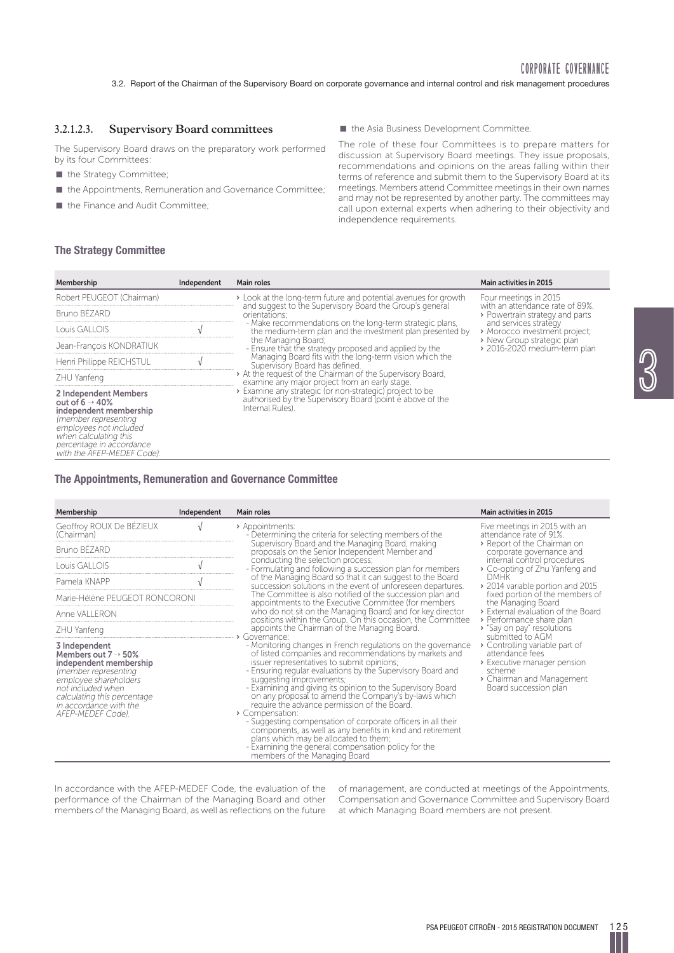<u>ල</u><br>ග්

## **3.2.1.2.3. Supervisory Board committees**

The Supervisory Board draws on the preparatory work performed by its four Committees:

- **n** the Strategy Committee;
- p the Appointments, Remuneration and Governance Committee;
- the Finance and Audit Committee;

 $\blacksquare$  the Asia Business Development Committee.

The role of these four Committees is to prepare matters for discussion at Supervisory Board meetings. They issue proposals, recommendations and opinions on the areas falling within their terms of reference and submit them to the Supervisory Board at its meetings. Members attend Committee meetings in their own names and may not be represented by another party. The committees may call upon external experts when adhering to their objectivity and independence requirements.

#### **The Strategy Committee**

| Membership                                                                                                                                                                                                          | Independent | Main roles                                                                                                                                                                                                                                                                                                                                                                                                                                                                                                                                                                                                              | <b>Main activities in 2015</b>                           |  |  |  |
|---------------------------------------------------------------------------------------------------------------------------------------------------------------------------------------------------------------------|-------------|-------------------------------------------------------------------------------------------------------------------------------------------------------------------------------------------------------------------------------------------------------------------------------------------------------------------------------------------------------------------------------------------------------------------------------------------------------------------------------------------------------------------------------------------------------------------------------------------------------------------------|----------------------------------------------------------|--|--|--|
| Robert PEUGEOT (Chairman)                                                                                                                                                                                           |             | > Look at the long-term future and potential avenues for growth<br>and suggest to the Supervisory Board the Group's general                                                                                                                                                                                                                                                                                                                                                                                                                                                                                             | Four meetings in 2015<br>with an attendance rate of 89%. |  |  |  |
| Bruno BÉZARD                                                                                                                                                                                                        |             | orientations;                                                                                                                                                                                                                                                                                                                                                                                                                                                                                                                                                                                                           | > Powertrain strategy and parts                          |  |  |  |
| Louis GALLOIS                                                                                                                                                                                                       |             | - Make recommendations on the long-term strategic plans,<br>and services strategy<br>the medium-term plan and the investment plan presented by<br>> New Group strategic plan<br>the Managing Board;<br>- Ensure that the strategy proposed and applied by the<br>Managing Board fits with the long-term vision which the<br>Supervisory Board has defined.<br>> At the request of the Chairman of the Supervisory Board,<br>examine any major project from an early stage.<br>> Examine any strategic (or non-strategic) project to be<br>authorised by the Supervisory Board (point e above of the<br>Internal Rules). | > Morocco investment project;                            |  |  |  |
| Jean-Francois KONDRATIUK                                                                                                                                                                                            |             |                                                                                                                                                                                                                                                                                                                                                                                                                                                                                                                                                                                                                         | > 2016-2020 medium-term plan                             |  |  |  |
| Henri Philippe REICHSTUL                                                                                                                                                                                            |             |                                                                                                                                                                                                                                                                                                                                                                                                                                                                                                                                                                                                                         |                                                          |  |  |  |
| ZHU Yanfeng                                                                                                                                                                                                         |             |                                                                                                                                                                                                                                                                                                                                                                                                                                                                                                                                                                                                                         |                                                          |  |  |  |
| 2 Independent Members<br>out of $6 \rightarrow 40\%$<br>independent membership<br>(member representing<br>employees not included<br>when calculating this<br>percentage in accordance<br>with the AFEP-MEDEF Code). |             |                                                                                                                                                                                                                                                                                                                                                                                                                                                                                                                                                                                                                         |                                                          |  |  |  |

## **The Appointments, Remuneration and Governance Committee**

| Membership                                                                                                                                                                                                                      | Independent | Main roles                                                                                                                                                                                                                                                                                                                                                                                                                                                                                                                                                                                                                                                                                                                                | <b>Main activities in 2015</b>                                                                                                                                       |             |  |                                              |                         |
|---------------------------------------------------------------------------------------------------------------------------------------------------------------------------------------------------------------------------------|-------------|-------------------------------------------------------------------------------------------------------------------------------------------------------------------------------------------------------------------------------------------------------------------------------------------------------------------------------------------------------------------------------------------------------------------------------------------------------------------------------------------------------------------------------------------------------------------------------------------------------------------------------------------------------------------------------------------------------------------------------------------|----------------------------------------------------------------------------------------------------------------------------------------------------------------------|-------------|--|----------------------------------------------|-------------------------|
| Geoffroy ROUX De BÉZIEUX<br>(Chairman)                                                                                                                                                                                          |             | > Appointments:<br>- Determining the criteria for selecting members of the                                                                                                                                                                                                                                                                                                                                                                                                                                                                                                                                                                                                                                                                | Five meetings in 2015 with an<br>attendance rate of 91%.                                                                                                             |             |  |                                              |                         |
| Bruno BÉZARD                                                                                                                                                                                                                    |             | Supervisory Board and the Managing Board, making<br>proposals on the Senior Independent Member and                                                                                                                                                                                                                                                                                                                                                                                                                                                                                                                                                                                                                                        | > Report of the Chairman on<br>corporate governance and                                                                                                              |             |  |                                              |                         |
| Louis GALLOIS                                                                                                                                                                                                                   |             | conducting the selection process;<br>- Formulating and following a succession plan for members                                                                                                                                                                                                                                                                                                                                                                                                                                                                                                                                                                                                                                            | internal control procedures<br>▶ Co-opting of Zhu Yanfeng and                                                                                                        |             |  |                                              |                         |
| Pamela KNAPP                                                                                                                                                                                                                    |             | of the Managing Board so that it can suggest to the Board<br>succession solutions in the event of unforeseen departures.                                                                                                                                                                                                                                                                                                                                                                                                                                                                                                                                                                                                                  | <b>DMHK</b><br>▶ 2014 variable portion and 2015                                                                                                                      |             |  |                                              |                         |
| Marie-Hélène PEUGEOT RONCORONI<br>Anne VALLERON                                                                                                                                                                                 |             | The Committee is also notified of the succession plan and<br>appointments to the Executive Committee (for members<br>who do not sit on the Managing Board) and for key director<br>positions within the Group. On this occasion, the Committee                                                                                                                                                                                                                                                                                                                                                                                                                                                                                            | fixed portion of the members of<br>the Managing Board<br>> External evaluation of the Board<br>> Performance share plan                                              |             |  |                                              |                         |
|                                                                                                                                                                                                                                 |             |                                                                                                                                                                                                                                                                                                                                                                                                                                                                                                                                                                                                                                                                                                                                           |                                                                                                                                                                      | ZHU Yanfeng |  | appoints the Chairman of the Managing Board. | Say on pay" resolutions |
| 3 Independent<br>Members out $7 \rightarrow 50\%$<br>independent membership<br>(member representing<br>employee shareholders<br>not included when<br>calculating this percentage<br>in accordance with the<br>AFEP-MEDEF Code). |             | > Governance:<br>- Monitoring changes in French regulations on the governance<br>of listed companies and recommendations by markets and<br>issuer representatives to submit opinions;<br>- Ensuring regular evaluations by the Supervisory Board and<br>suggesting improvements;<br>- Examining and giving its opinion to the Supervisory Board<br>on any proposal to amend the Company's by-laws which<br>require the advance permission of the Board.<br>> Compensation:<br>- Suggesting compensation of corporate officers in all their<br>components, as well as any benefits in kind and retirement<br>plans which may be allocated to them;<br>- Examining the general compensation policy for the<br>members of the Managing Board | submitted to AGM<br>> Controlling variable part of<br>attendance fees<br>> Executive manager pension<br>scheme<br>> Chairman and Management<br>Board succession plan |             |  |                                              |                         |

In accordance with the AFEP-MEDEF Code, the evaluation of the performance of the Chairman of the Managing Board and other members of the Managing Board, as well as reflections on the future of management, are conducted at meetings of the Appointments, Compensation and Governance Committee and Supervisory Board at which Managing Board members are not present.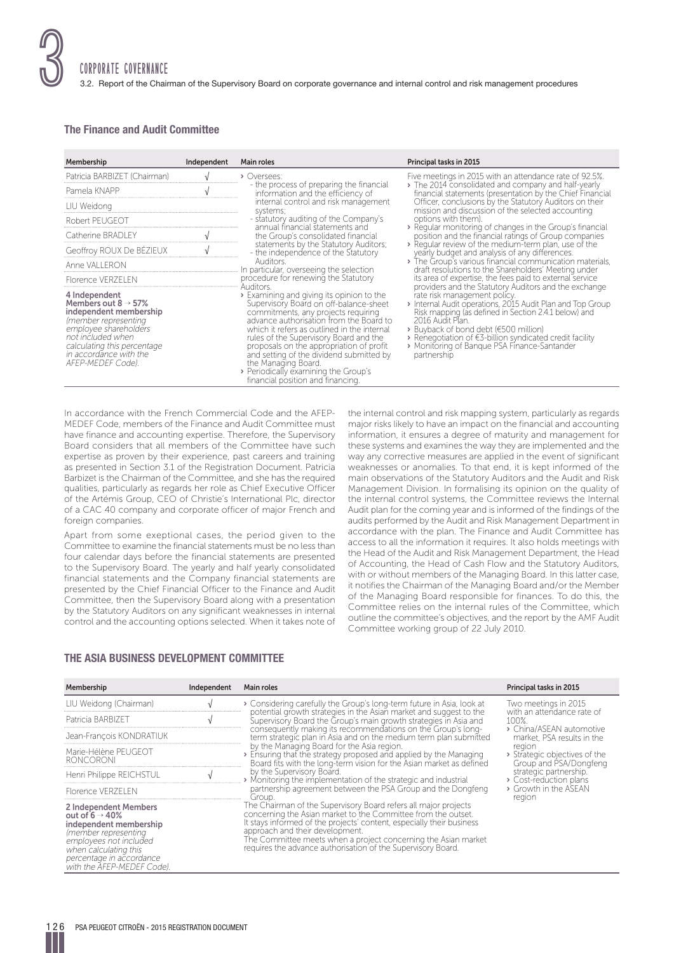

## **The Finance and Audit Committee**

| Membership                                                                                                                                                                                                                      | Independent | Main roles                                                                                                                                                                                                                                                                                                                                                                                                                                                 | Principal tasks in 2015                                                                                                                                                                                                                                                                                                                    |
|---------------------------------------------------------------------------------------------------------------------------------------------------------------------------------------------------------------------------------|-------------|------------------------------------------------------------------------------------------------------------------------------------------------------------------------------------------------------------------------------------------------------------------------------------------------------------------------------------------------------------------------------------------------------------------------------------------------------------|--------------------------------------------------------------------------------------------------------------------------------------------------------------------------------------------------------------------------------------------------------------------------------------------------------------------------------------------|
| Patricia BARBIZET (Chairman)                                                                                                                                                                                                    |             | > Oversees:                                                                                                                                                                                                                                                                                                                                                                                                                                                | Five meetings in 2015 with an attendance rate of 92.5%.                                                                                                                                                                                                                                                                                    |
| Pamela KNAPP                                                                                                                                                                                                                    |             | - the process of preparing the financial<br>information and the efficiency of                                                                                                                                                                                                                                                                                                                                                                              | The 2014 consolidated and company and half-yearly<br>financial statements (presentation by the Chief Financial                                                                                                                                                                                                                             |
| LIU Weidong                                                                                                                                                                                                                     |             | internal control and risk management<br>systems;                                                                                                                                                                                                                                                                                                                                                                                                           | Officer, conclusions by the Statutory Auditors on their<br>mission and discussion of the selected accounting                                                                                                                                                                                                                               |
| Robert PEUGEOT                                                                                                                                                                                                                  |             | - statutory auditing of the Company's<br>annual financial statements and                                                                                                                                                                                                                                                                                                                                                                                   | options with them).                                                                                                                                                                                                                                                                                                                        |
| Catherine BRADLEY                                                                                                                                                                                                               |             | the Group's consolidated financial                                                                                                                                                                                                                                                                                                                                                                                                                         | > Regular monitoring of changes in the Group's financial<br>position and the financial ratings of Group companies                                                                                                                                                                                                                          |
| Geoffroy ROUX De BÉZIEUX                                                                                                                                                                                                        |             | statements by the Statutory Auditors;<br>- the independence of the Statutory                                                                                                                                                                                                                                                                                                                                                                               | > Regular review of the medium-term plan, use of the<br>yearly budget and analysis of any differences.                                                                                                                                                                                                                                     |
| Anne VALLERON                                                                                                                                                                                                                   |             | Auditors.<br>In particular, overseeing the selection                                                                                                                                                                                                                                                                                                                                                                                                       | The Group's various financial communication materials,<br>draft resolutions to the Shareholders' Meeting under                                                                                                                                                                                                                             |
| <b>Florence VERZELEN</b>                                                                                                                                                                                                        |             | procedure for renewing the Statutory<br>Auditors.                                                                                                                                                                                                                                                                                                                                                                                                          | its area of expertise, the fees paid to external service<br>providers and the Statutory Auditors and the exchange                                                                                                                                                                                                                          |
| 4 Independent<br>Members out $8 \rightarrow 57\%$<br>independent membership<br>(member representing<br>employee shareholders<br>not included when<br>calculating this percentage<br>in accordance with the<br>AFEP-MEDEF Code). |             | > Examining and giving its opinion to the<br>Supervisory Board on off-balance-sheet<br>commitments, any projects requiring<br>advance authorisation from the Board to<br>which it refers as outlined in the internal<br>rules of the Supervisory Board and the<br>proposals on the appropriation of profit<br>and setting of the dividend submitted by<br>the Managing Board.<br>> Periodically examining the Group's<br>financial position and financing. | rate risk management policy.<br>> Internal Audit operations, 2015 Audit Plan and Top Group<br>Risk mapping (as defined in Section 2.4.1 below) and<br>2016 Audit Plan.<br>▶ Buyback of bond debt (€500 million)<br>▶ Renegotiation of €3-billion syndicated credit facility<br>> Monitoring of Banque PSA Finance-Santander<br>partnership |

In accordance with the French Commercial Code and the AFEP-MEDEF Code, members of the Finance and Audit Committee must have finance and accounting expertise. Therefore, the Supervisory Board considers that all members of the Committee have such expertise as proven by their experience, past careers and training as presented in Section 3.1 of the Registration Document. Patricia Barbizet is the Chairman of the Committee, and she has the required qualities, particularly as regards her role as Chief Executive Officer of the Artémis Group, CEO of Christie's International Plc, director of a CAC 40 company and corporate officer of major French and foreign companies.

Apart from some exeptional cases, the period given to the Committee to examine the financial statements must be no less than four calendar days before the financial statements are presented to the Supervisory Board. The yearly and half yearly consolidated financial statements and the Company financial statements are presented by the Chief Financial Officer to the Finance and Audit Committee, then the Supervisory Board along with a presentation by the Statutory Auditors on any significant weaknesses in internal control and the accounting options selected. When it takes note of

#### major risks likely to have an impact on the financial and accounting information, it ensures a degree of maturity and management for these systems and examines the way they are implemented and the way any corrective measures are applied in the event of significant weaknesses or anomalies. To that end, it is kept informed of the main observations of the Statutory Auditors and the Audit and Risk Management Division. In formalising its opinion on the quality of the internal control systems, the Committee reviews the Internal Audit plan for the coming year and is informed of the findings of the audits performed by the Audit and Risk Management Department in accordance with the plan. The Finance and Audit Committee has access to all the information it requires. It also holds meetings with the Head of the Audit and Risk Management Department, the Head of Accounting, the Head of Cash Flow and the Statutory Auditors, with or without members of the Managing Board. In this latter case, it notifies the Chairman of the Managing Board and/or the Member of the Managing Board responsible for finances. To do this, the Committee relies on the internal rules of the Committee, which outline the committee's objectives, and the report by the AMF Audit Committee working group of 22 July 2010.

the internal control and risk mapping system, particularly as regards

## **THE ASIA BUSINESS DEVELOPMENT COMMITTEE**

| Membership                                                                                                                                                                                                          | Independent | Main roles                                                                                                                                                                                                                                                                                                                                                                                                                                             | Principal tasks in 2015                                                                                                           |                                                         |
|---------------------------------------------------------------------------------------------------------------------------------------------------------------------------------------------------------------------|-------------|--------------------------------------------------------------------------------------------------------------------------------------------------------------------------------------------------------------------------------------------------------------------------------------------------------------------------------------------------------------------------------------------------------------------------------------------------------|-----------------------------------------------------------------------------------------------------------------------------------|---------------------------------------------------------|
| LIU Weidong (Chairman)                                                                                                                                                                                              |             | Considering carefully the Group's long-term future in Asia, look at                                                                                                                                                                                                                                                                                                                                                                                    | Two meetings in 2015<br>potential growth strategies in the Asian market and suggest to the<br>with an attendance rate of<br>100%. |                                                         |
| Patricia BARBIZET                                                                                                                                                                                                   |             | Supervisory Board the Group's main growth strategies in Asia and                                                                                                                                                                                                                                                                                                                                                                                       |                                                                                                                                   |                                                         |
| Jean-François KONDRATIUK                                                                                                                                                                                            |             | consequently making its recommendations on the Group's long-<br>term strategic plan in Asia and on the medium term plan submitted                                                                                                                                                                                                                                                                                                                      | > China/ASEAN automotive<br>market. PSA results in the                                                                            |                                                         |
| Marie-Hélène PEUGEOT<br><b>RONCORONI</b>                                                                                                                                                                            |             | by the Managing Board for the Asia region.<br>region<br>Ensuring that the strategy proposed and applied by the Managing<br>Board fits with the long-term vision for the Asian market as defined<br>by the Supervisory Board.<br>strategic partnership.<br>> Monitoring the implementation of the strategic and industrial<br>> Cost-reduction plans<br>partnership agreement between the PSA Group and the Dongfeng<br>> Growth in the ASEAN<br>Group. |                                                                                                                                   | > Strategic objectives of the<br>Group and PSA/Dongfeng |
| Henri Philippe REICHSTUL                                                                                                                                                                                            |             |                                                                                                                                                                                                                                                                                                                                                                                                                                                        |                                                                                                                                   |                                                         |
| <b>Florence VERZELEN</b>                                                                                                                                                                                            |             |                                                                                                                                                                                                                                                                                                                                                                                                                                                        | region                                                                                                                            |                                                         |
| 2 Independent Members<br>out of $6 \rightarrow 40\%$<br>independent membership<br>(member representing<br>employees not included<br>when calculating this<br>percentage in accordance<br>with the AFEP-MEDEF Code). |             | The Chairman of the Supervisory Board refers all major projects<br>concerning the Asian market to the Committee from the outset.<br>It stays informed of the projects' content, especially their business<br>approach and their development.<br>The Committee meets when a project concerning the Asian market<br>requires the advance authorisation of the Supervisory Board.                                                                         |                                                                                                                                   |                                                         |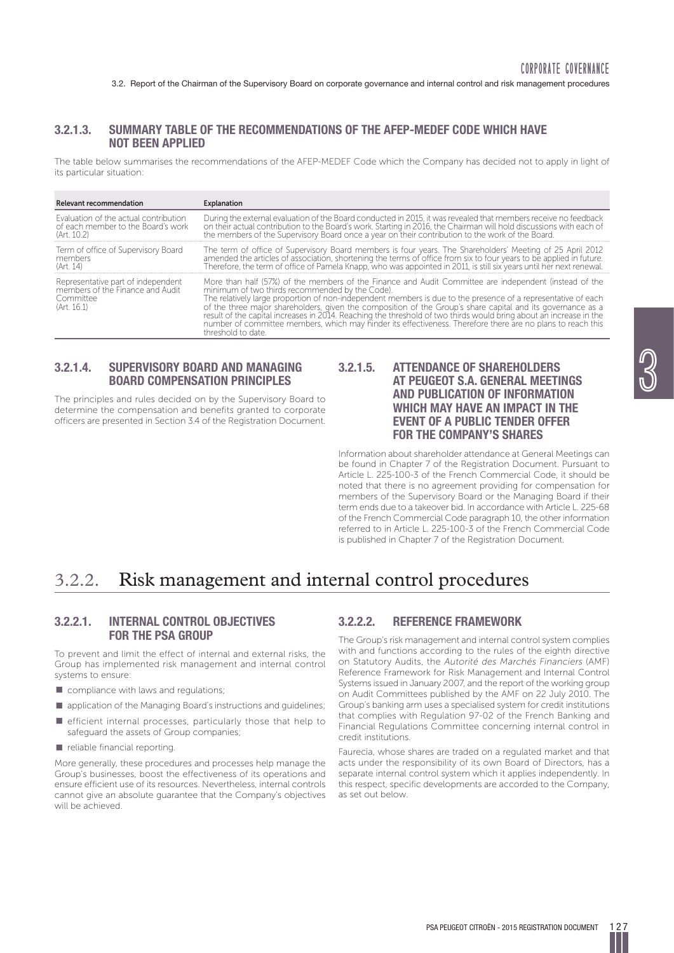## **3.2.1.3. SUMMARY TABLE OF THE RECOMMENDATIONS OF THE AFEP-MEDEF CODE WHICH HAVE NOT BEEN APPLIED**

The table below summarises the recommendations of the AFEP-MEDEF Code which the Company has decided not to apply in light of its particular situation:

| <b>Relevant recommendation</b>                                                                     | Explanation                                                                                                                                                                                                                                                                                                                                                                                                                                                                                                                                                                                                                                          |
|----------------------------------------------------------------------------------------------------|------------------------------------------------------------------------------------------------------------------------------------------------------------------------------------------------------------------------------------------------------------------------------------------------------------------------------------------------------------------------------------------------------------------------------------------------------------------------------------------------------------------------------------------------------------------------------------------------------------------------------------------------------|
| Evaluation of the actual contribution<br>of each member to the Board's work<br>(Art. 10.2)         | During the external evaluation of the Board conducted in 2015, it was revealed that members receive no feedback<br>on their actual contribution to the Board's work. Starting in 2016, the Chairman will hold discussions with each of<br>the members of the Supervisory Board once a year on their contribution to the work of the Board.                                                                                                                                                                                                                                                                                                           |
| Term of office of Supervisory Board<br>members<br>(Art. 14)                                        | The term of office of Supervisory Board members is four years. The Shareholders' Meeting of 25 April 2012 amended the articles of association, shortening the terms of office from six to four years to be applied in future.<br>Therefore, the term of office of Pamela Knapp, who was appointed in 2011, is still six years until her next renewal.                                                                                                                                                                                                                                                                                                |
| Representative part of independent<br>members of the Finance and Audit<br>Committee<br>(Art. 16.1) | More than half (57%) of the members of the Finance and Audit Committee are independent (instead of the<br>minimum of two thirds recommended by the Code).<br>The relatively large proportion of non-independent members is due to the presence of a representative of each<br>of the three major shareholders, given the composition of the Group's share capital and its governance as a<br>result of the capital increases in 2014. Reaching the threshold of two thirds would bring about an increase in the<br>number of committee members, which may hinder its effectiveness. Therefore there are no plans to reach this<br>threshold to date. |

## **3.2.1.4. SUPERVISORY BOARD AND MANAGING BOARD COMPENSATION PRINCIPLES**

The principles and rules decided on by the Supervisory Board to determine the compensation and benefits granted to corporate officers are presented in Section 3.4 of the Registration Document.

## **3.2.1.5. ATTENDANCE OF SHAREHOLDERS AT PEUGEOT S.A. GENERAL MEETINGS AND PUBLICATION OF INFORMATION WHICH MAY HAVE AN IMPACT IN THE EVENT OF A PUBLIC TENDER OFFER FOR THE COMPANY'S SHARES**

Information about shareholder attendance at General Meetings can be found in Chapter 7 of the Registration Document. Pursuant to Article L. 225-100-3 of the French Commercial Code, it should be noted that there is no agreement providing for compensation for members of the Supervisory Board or the Managing Board if their term ends due to a takeover bid. In accordance with Article L. 225-68 of the French Commercial Code paragraph 10, the other information referred to in Article L. 225-100-3 of the French Commercial Code is published in Chapter 7 of the Registration Document.

# 3.2.2. Risk management and internal control procedures

## **3.2.2.1. INTERNAL CONTROL OBJECTIVES FOR THE PSA GROUP**

To prevent and limit the effect of internal and external risks, the Group has implemented risk management and internal control systems to ensure:

- $\blacksquare$  compliance with laws and regulations;
- $\blacksquare$  application of the Managing Board's instructions and guidelines;
- $\blacksquare$  efficient internal processes, particularly those that help to safeguard the assets of Group companies;
- $\blacksquare$  reliable financial reporting.

More generally, these procedures and processes help manage the Group's businesses, boost the effectiveness of its operations and ensure efficient use of its resources. Nevertheless, internal controls cannot give an absolute guarantee that the Company's objectives will be achieved.

## **3.2.2.2. REFERENCE FRAMEWORK**

The Group's risk management and internal control system complies with and functions according to the rules of the eighth directive on Statutory Audits, the Autorité des Marchés Financiers (AMF) Reference Framework for Risk Management and Internal Control Systems issued in January 2007, and the report of the working group on Audit Committees published by the AMF on 22 July 2010. The Group's banking arm uses a specialised system for credit institutions that complies with Regulation 97-02 of the French Banking and Financial Regulations Committee concerning internal control in credit institutions.

Faurecia, whose shares are traded on a regulated market and that acts under the responsibility of its own Board of Directors, has a separate internal control system which it applies independently. In this respect, specific developments are accorded to the Company, as set out below.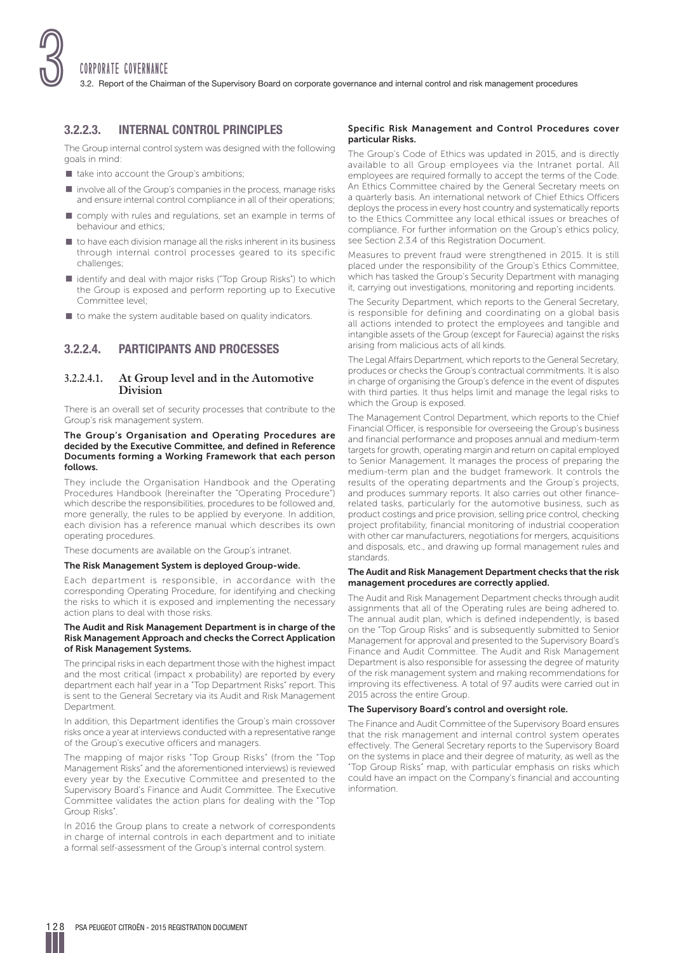

## **3.2.2.3. INTERNAL CONTROL PRINCIPLES**

The Group internal control system was designed with the following goals in mind:

- $\blacksquare$  take into account the Group's ambitions;
- $\blacksquare$  involve all of the Group's companies in the process, manage risks and ensure internal control compliance in all of their operations;
- $\blacksquare$  comply with rules and regulations, set an example in terms of behaviour and ethics;
- $\blacksquare$  to have each division manage all the risks inherent in its business through internal control processes geared to its specific challenges;
- p identify and deal with major risks ("Top Group Risks") to which the Group is exposed and perform reporting up to Executive Committee level;
- $\blacksquare$  to make the system auditable based on quality indicators.

## **3.2.2.4. PARTICIPANTS AND PROCESSES**

## **3.2.2.4.1. At Group level and in the Automotive Division**

There is an overall set of security processes that contribute to the Group's risk management system.

#### **The Group's Organisation and Operating Procedures are decided by the Executive Committee, and defined in Reference Documents forming a Working Framework that each person follows.**

They include the Organisation Handbook and the Operating Procedures Handbook (hereinafter the "Operating Procedure") which describe the responsibilities, procedures to be followed and, more generally, the rules to be applied by everyone. In addition, each division has a reference manual which describes its own operating procedures.

These documents are available on the Group's intranet.

#### **The Risk Management System is deployed Group-wide.**

Each department is responsible, in accordance with the corresponding Operating Procedure, for identifying and checking the risks to which it is exposed and implementing the necessary action plans to deal with those risks.

#### **The Audit and Risk Management Department is in charge of the Risk Management Approach and checks the Correct Application of Risk Management Systems.**

The principal risks in each department those with the highest impact and the most critical (impact x probability) are reported by every department each half year in a "Top Department Risks" report. This is sent to the General Secretary via its Audit and Risk Management **Department** 

In addition, this Department identifies the Group's main crossover risks once a year at interviews conducted with a representative range of the Group's executive officers and managers.

The mapping of major risks "Top Group Risks" (from the "Top Management Risks" and the aforementioned interviews) is reviewed every year by the Executive Committee and presented to the Supervisory Board's Finance and Audit Committee. The Executive Committee validates the action plans for dealing with the "Top Group Risks".

In 2016 the Group plans to create a network of correspondents in charge of internal controls in each department and to initiate a formal self-assessment of the Group's internal control system.

#### **Specific Risk Management and Control Procedures cover particular Risks.**

The Group's Code of Ethics was updated in 2015, and is directly available to all Group employees via the Intranet portal. All employees are required formally to accept the terms of the Code. An Ethics Committee chaired by the General Secretary meets on a quarterly basis. An international network of Chief Ethics Officers deploys the process in every host country and systematically reports to the Ethics Committee any local ethical issues or breaches of compliance. For further information on the Group's ethics policy, see Section 2.3.4 of this Registration Document.

Measures to prevent fraud were strengthened in 2015. It is still placed under the responsibility of the Group's Ethics Committee, which has tasked the Group's Security Department with managing it, carrying out investigations, monitoring and reporting incidents.

The Security Department, which reports to the General Secretary, is responsible for defining and coordinating on a global basis all actions intended to protect the employees and tangible and intangible assets of the Group (except for Faurecia) against the risks arising from malicious acts of all kinds.

The Legal Affairs Department, which reports to the General Secretary, produces or checks the Group's contractual commitments. It is also in charge of organising the Group's defence in the event of disputes with third parties. It thus helps limit and manage the legal risks to which the Group is exposed.

The Management Control Department, which reports to the Chief Financial Officer, is responsible for overseeing the Group's business and financial performance and proposes annual and medium-term targets for growth, operating margin and return on capital employed to Senior Management. It manages the process of preparing the medium-term plan and the budget framework. It controls the results of the operating departments and the Group's projects, and produces summary reports. It also carries out other financerelated tasks, particularly for the automotive business, such as product costings and price provision, selling price control, checking project profitability, financial monitoring of industrial cooperation with other car manufacturers, negotiations for mergers, acquisitions and disposals, etc., and drawing up formal management rules and standards.

#### **The Audit and Risk Management Department checks that the risk management procedures are correctly applied.**

The Audit and Risk Management Department checks through audit assignments that all of the Operating rules are being adhered to. The annual audit plan, which is defined independently, is based on the "Top Group Risks" and is subsequently submitted to Senior Management for approval and presented to the Supervisory Board's Finance and Audit Committee. The Audit and Risk Management Department is also responsible for assessing the degree of maturity of the risk management system and making recommendations for improving its effectiveness. A total of 97 audits were carried out in 2015 across the entire Group.

## **The Supervisory Board's control and oversight role.**

The Finance and Audit Committee of the Supervisory Board ensures that the risk management and internal control system operates effectively. The General Secretary reports to the Supervisory Board on the systems in place and their degree of maturity, as well as the "Top Group Risks" map, with particular emphasis on risks which could have an impact on the Company's financial and accounting information.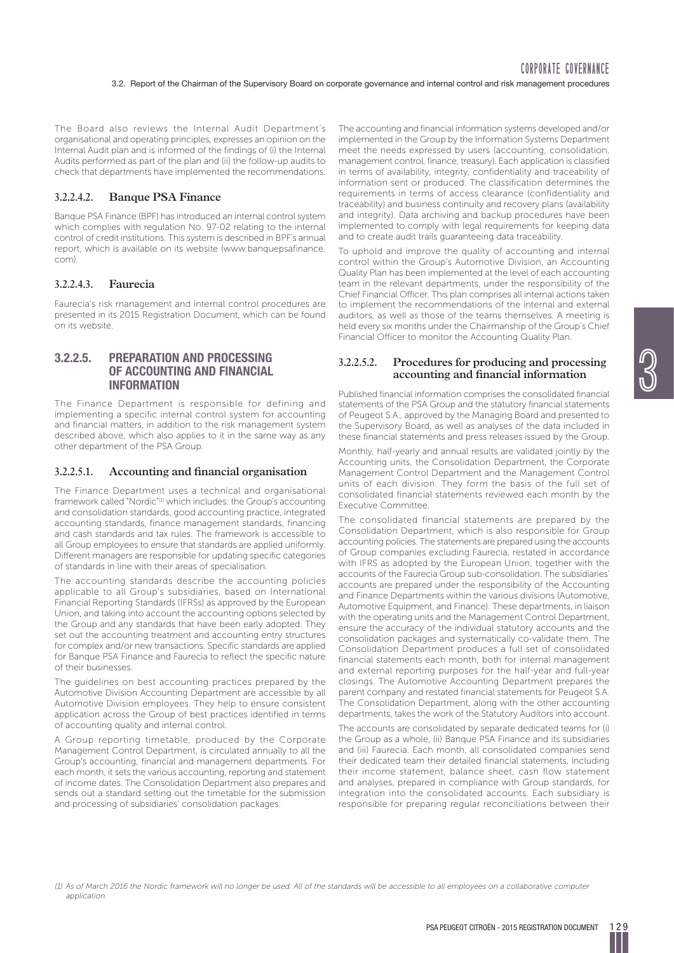The Board also reviews the Internal Audit Department's organisational and operating principles, expresses an opinion on the Internal Audit plan and is informed of the findings of (i) the Internal Audits performed as part of the plan and (ii) the follow-up audits to check that departments have implemented the recommendations.

## **3.2.2.4.2. Banque PSA Finance**

Banque PSA Finance (BPF) has introduced an internal control system which complies with regulation No. 97-02 relating to the internal control of credit institutions. This system is described in BPF's annual report, which is available on its website (www.banquepsafinance. com).

## **3.2.2.4.3. Faurecia**

Faurecia's risk management and internal control procedures are presented in its 2015 Registration Document, which can be found on its website.

## **3.2.2.5. PREPARATION AND PROCESSING OF ACCOUNTING AND FINANCIAL INFORMATION**

The Finance Department is responsible for defining and implementing a specific internal control system for accounting and financial matters, in addition to the risk management system described above, which also applies to it in the same way as any other department of the PSA Group.

#### **3.2.2.5.1.** Accounting and financial organisation

The Finance Department uses a technical and organisational framework called "Nordic"(1) which includes: the Group's accounting and consolidation standards, good accounting practice, integrated accounting standards, finance management standards, financing and cash standards and tax rules. The framework is accessible to all Group employees to ensure that standards are applied uniformly. Different managers are responsible for updating specific categories of standards in line with their areas of specialisation.

The accounting standards describe the accounting policies applicable to all Group's subsidiaries, based on International Financial Reporting Standards (IFRSs) as approved by the European Union, and taking into account the accounting options selected by the Group and any standards that have been early adopted. They set out the accounting treatment and accounting entry structures for complex and/or new transactions. Specific standards are applied for Banque PSA Finance and Faurecia to reflect the specific nature of their businesses.

The guidelines on best accounting practices prepared by the Automotive Division Accounting Department are accessible by all Automotive Division employees. They help to ensure consistent application across the Group of best practices identified in terms of accounting quality and internal control.

A Group reporting timetable, produced by the Corporate Management Control Department, is circulated annually to all the Group's accounting, financial and management departments. For each month, it sets the various accounting, reporting and statement of income dates. The Consolidation Department also prepares and sends out a standard setting out the timetable for the submission and processing of subsidiaries' consolidation packages.

The accounting and financial information systems developed and/or implemented in the Group by the Information Systems Department meet the needs expressed by users (accounting, consolidation, management control, finance, treasury). Each application is classified in terms of availability, integrity, confidentiality and traceability of information sent or produced. The classification determines the requirements in terms of access clearance (confidentiality and traceability) and business continuity and recovery plans (availability and integrity). Data archiving and backup procedures have been implemented to comply with legal requirements for keeping data and to create audit trails guaranteeing data traceability.

To uphold and improve the quality of accounting and internal control within the Group's Automotive Division, an Accounting Quality Plan has been implemented at the level of each accounting team in the relevant departments, under the responsibility of the Chief Financial Officer. This plan comprises all internal actions taken to implement the recommendations of the internal and external auditors, as well as those of the teams themselves. A meeting is held every six months under the Chairmanship of the Group's Chief Financial Officer to monitor the Accounting Quality Plan.

## **3.2.2.5.2. Procedures for producing and processing**  accounting and financial information

<u>ල</u><br>ග්

Published financial information comprises the consolidated financial statements of the PSA Group and the statutory financial statements of Peugeot S.A., approved by the Managing Board and presented to the Supervisory Board, as well as analyses of the data included in these financial statements and press releases issued by the Group.

Monthly, half-yearly and annual results are validated jointly by the Accounting units, the Consolidation Department, the Corporate Management Control Department and the Management Control units of each division. They form the basis of the full set of consolidated financial statements reviewed each month by the Executive Committee.

The consolidated financial statements are prepared by the Consolidation Department, which is also responsible for Group accounting policies. The statements are prepared using the accounts of Group companies excluding Faurecia, restated in accordance with IFRS as adopted by the European Union, together with the accounts of the Faurecia Group sub-consolidation. The subsidiaries' accounts are prepared under the responsibility of the Accounting and Finance Departments within the various divisions (Automotive, Automotive Equipment, and Finance). These departments, in liaison with the operating units and the Management Control Department, ensure the accuracy of the individual statutory accounts and the consolidation packages and systematically co-validate them. The Consolidation Department produces a full set of consolidated financial statements each month, both for internal management and external reporting purposes for the half-year and full-year closings. The Automotive Accounting Department prepares the parent company and restated financial statements for Peugeot S.A. The Consolidation Department, along with the other accounting departments, takes the work of the Statutory Auditors into account.

The accounts are consolidated by separate dedicated teams for (i) the Group as a whole, (ii) Banque PSA Finance and its subsidiaries and (iii) Faurecia. Each month, all consolidated companies send their dedicated team their detailed financial statements, including their income statement, balance sheet, cash flow statement and analyses, prepared in compliance with Group standards, for integration into the consolidated accounts. Each subsidiary is responsible for preparing regular reconciliations between their